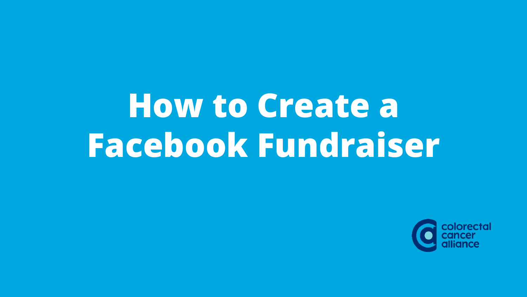# **How to Create a Facebook Fundraiser**

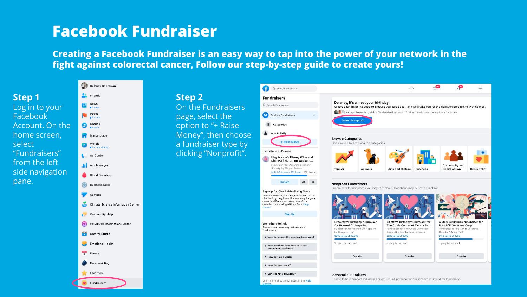**Creating a Facebook Fundraiser is an easy way to tap into the power of your network in the fight against colorectal cancer, Follow our step-by-step guide to create yours!**

|                 | CP)<br>Delaney Bedrosian                  |                                                                                                                                                                                                          | Ø<br>Q Search Facebook                                                                                                                                                                                                       |                                                                                                                                    | $\Omega$                                                                                         |  |                                                                                   | $\bigoplus$          |  |
|-----------------|-------------------------------------------|----------------------------------------------------------------------------------------------------------------------------------------------------------------------------------------------------------|------------------------------------------------------------------------------------------------------------------------------------------------------------------------------------------------------------------------------|------------------------------------------------------------------------------------------------------------------------------------|--------------------------------------------------------------------------------------------------|--|-----------------------------------------------------------------------------------|----------------------|--|
| Step 1          | Friends                                   | <b>Step 2</b>                                                                                                                                                                                            | <b>Fundraisers</b>                                                                                                                                                                                                           |                                                                                                                                    |                                                                                                  |  |                                                                                   |                      |  |
| Log in to your  | News<br>$\bullet$ 2 new                   | Delaney, it's almost your birthday!<br>Q Search Fundraisers<br>On the Fundraisers<br>Create a fundraiser to support a cause you care about, and we'll take care of the donation processing with no fees. |                                                                                                                                                                                                                              |                                                                                                                                    |                                                                                                  |  |                                                                                   |                      |  |
| Facebook        | Pages                                     | Kathryn Melendez, Vivian Alcala-Martinez and 117 other friends have donated to a fundraiser.<br>Explore Fundraisers<br>page, select the<br>$\wedge$                                                      |                                                                                                                                                                                                                              |                                                                                                                                    |                                                                                                  |  |                                                                                   |                      |  |
| Account. On the | Groups<br>❸                               | option to "+ Raise                                                                                                                                                                                       | 臣<br>Categories                                                                                                                                                                                                              | <b>Select Nonprofit</b>                                                                                                            |                                                                                                  |  |                                                                                   |                      |  |
| home screen,    | Marketplace                               | Money", then choose                                                                                                                                                                                      | Your Activity                                                                                                                                                                                                                |                                                                                                                                    |                                                                                                  |  |                                                                                   |                      |  |
| select          | Watch<br>Q                                | a fundraiser type by                                                                                                                                                                                     | + Raise Money                                                                                                                                                                                                                | <b>Browse Categories</b><br>Find a cause by browsing top categories                                                                |                                                                                                  |  |                                                                                   |                      |  |
| "Fundraisers"   | Ad Center                                 | clicking "Nonprofit".                                                                                                                                                                                    | <b>Invitations to Donate</b>                                                                                                                                                                                                 |                                                                                                                                    |                                                                                                  |  |                                                                                   |                      |  |
| from the left   | .11 Ads Manager                           |                                                                                                                                                                                                          | Meg & Kate's Disney Wine and<br>Dine Half Marathon Weekend<br>Fundraiser for American Cancer                                                                                                                                 |                                                                                                                                    |                                                                                                  |  | Community and                                                                     |                      |  |
| side navigation | <b>Blood Donations</b>                    |                                                                                                                                                                                                          | Society by Megan Petras<br>\$144 left to reach \$675 goal 138 days left                                                                                                                                                      | Popular<br>Animals                                                                                                                 | <b>Arts and Culture</b><br><b>Business</b>                                                       |  | <b>Social Action</b>                                                              | <b>Crisis Relief</b> |  |
| pane.           | $\odot$<br><b>Business Suite</b>          |                                                                                                                                                                                                          | <b>Donate</b><br>图<br><b>Nonprofit Fundraisers</b><br>Fundraisers for nonprofits you may care about. Donations may be tax-deductible.<br>Sign up for Charitable Giving Tools<br>Pages you manage are eligible to sign up for |                                                                                                                                    |                                                                                                  |  |                                                                                   |                      |  |
|                 | Campus                                    |                                                                                                                                                                                                          |                                                                                                                                                                                                                              |                                                                                                                                    |                                                                                                  |  |                                                                                   |                      |  |
|                 | <b>Climate Science Information Center</b> |                                                                                                                                                                                                          | charitable giving tools. Raise money for your<br>cause and Facebook takes care of the<br>donation processing with no fees. Help                                                                                              |                                                                                                                                    |                                                                                                  |  |                                                                                   |                      |  |
|                 | Community Help                            |                                                                                                                                                                                                          | Center<br><b>Sign Up</b>                                                                                                                                                                                                     |                                                                                                                                    |                                                                                                  |  |                                                                                   |                      |  |
|                 | COVID-19 Information Center               |                                                                                                                                                                                                          | We're here to help                                                                                                                                                                                                           | Brooksye's birthday fundraiser<br>for Hooked On Hope Inc.                                                                          | Lizette's birthday fundraiser for<br>The Crisis Center of Tampa Ba                               |  | A Mark's birthday fundraiser for<br>Post 9/11 Veterans Corp                       |                      |  |
|                 | <b>Creator Studio</b>                     |                                                                                                                                                                                                          | Answers to common questions about<br>fundraisers                                                                                                                                                                             | Fundraiser for Hooked On Hope Inc.<br>by Brooksye Hall<br>\$965 raised of \$2,000                                                  | Fundraiser for The Crisis Center of<br>Tampa Bay Inc. by Lizette Rivera<br>\$225 raised of \$500 |  | Fundraiser for Post 9/11 Veterans<br>Corp by A Mark Pack<br>\$150 raised of \$200 |                      |  |
|                 | Emotional Health                          |                                                                                                                                                                                                          | ▶ How do nonprofits receive donations?<br>How are donations to a personal                                                                                                                                                    | 15 people donated.                                                                                                                 | 6 people donated.                                                                                |  | 5 people donated.                                                                 |                      |  |
|                 | $\overrightarrow{+}$ Events               |                                                                                                                                                                                                          | fundraiser received?                                                                                                                                                                                                         |                                                                                                                                    |                                                                                                  |  |                                                                                   |                      |  |
|                 | Facebook Pay                              |                                                                                                                                                                                                          | How do taxes work?<br>How do fees work?                                                                                                                                                                                      | Donate                                                                                                                             | Donate                                                                                           |  | Donate                                                                            |                      |  |
|                 | Favorites                                 |                                                                                                                                                                                                          | Can I donate privately?                                                                                                                                                                                                      |                                                                                                                                    |                                                                                                  |  |                                                                                   |                      |  |
|                 | Fundraisers                               |                                                                                                                                                                                                          | Learn more about fundraisers in the Help                                                                                                                                                                                     | <b>Personal Fundraisers</b><br>Donate to help support individuals or groups. All personal fundraisers are reviewed for legitimacy. |                                                                                                  |  |                                                                                   |                      |  |
|                 |                                           |                                                                                                                                                                                                          | Center                                                                                                                                                                                                                       |                                                                                                                                    |                                                                                                  |  |                                                                                   |                      |  |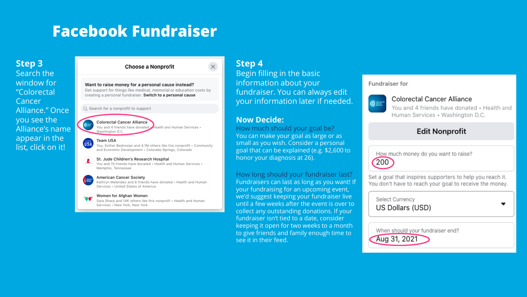## **Step 3**

Search the window for "Colorectal Cancer Alliance." Once you see the Alliance's name appear in the list, click on it!

#### **Choose a Nonprofit**

Want to raise money for a personal cause instead? Get support for things like medical, memorial or education costs by creating a personal fundraiser. Switch to a personal cause

Q Search for a nonprofit to support

#### Colorectal Cancer Alliance You and 4 friends have donated Health and Human Services . Washington D.C.

Team USA You, Esther Bedrosian and 4.1M others like this nonprofit . Community and Economic Development · Colorado Springs, Colorado

#### St. Jude Children's Research Hospital

You and 15 friends have donated . Health and Human Services . Memphis, Tennessee

#### American Cancer Society

Kathryn Melendez and 6 friends have donated . Health and Human Services . United States of America

#### Women for Afghan Women

Sara Sharp and 14K others like this nonprofit . Health and Human Services . New York, New York

## **Step 4**

 $\times$ 

Begin filling in the basic information about your fundraiser. You can always edit your information later if needed.

#### **Now Decide:**

How much should your goal be? You can make your goal as large or as small as you wish. Consider a personal goal that can be explained (e.g. \$2,600 to honor your diagnosis at 26).

How long should your fundraiser last? Fundraisers can last as long as you want! If your fundraising for an upcoming event, we'd suggest keeping your fundraiser live until a few weeks after the event is over to collect any outstanding donations. If your fundraiser isn't tied to a date, consider keeping it open for two weeks to a month to give friends and family enough time to see it in their feed.

#### **Fundraiser for**



#### Colorectal Cancer Alliance

You and 4 friends have donated . Health and Human Services . Washington D.C.

## **Edit Nonprofit**

How much money do you want to raise?

200

Set a goal that inspires supporters to help you reach it. You don't have to reach your goal to receive the money.

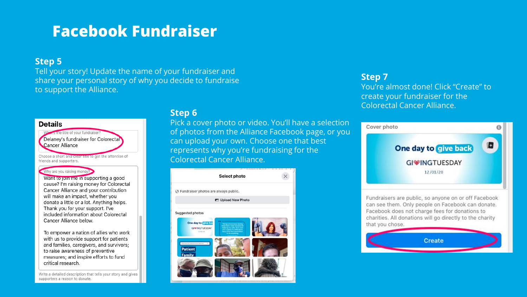## **Step 5**

Tell your story! Update the name of your fundraiser and share your personal story of why you decide to fundraise to support the Alliance.

#### **Details**

Where s the title of your fundraiser? Delanev's fundraiser for Colorectal Cancer Alliance

Choose a short and clear title to get the attention of friends and supporters.

#### Why are you raising money?

Want to join me in supporting a good cause? I'm raising money for Colorectal Cancer Alliance and your contribution will make an impact, whether you donate a little or a lot. Anything helps. Thank you for your support. I've included information about Colorectal Cancer Alliance below.

To empower a nation of allies who work with us to provide support for patients and families, caregivers, and survivors; to raise awareness of preventive measures; and inspire efforts to fund critical research.

Write a detailed description that tells your story and gives supporters a reason to donate

## **Step 6**

Pick a cover photo or video. You'll have a selection of photos from the Alliance Facebook page, or you can upload your own. Choose one that best represents why you're fundraising for the Colorectal Cancer Alliance.



#### **Step 7**

You're almost done! Click "Create" to create your fundraiser for the Colorectal Cancer Alliance.



Fundraisers are public, so anyone on or off Facebook can see them. Only people on Facebook can donate. Facebook does not charge fees for donations to charities. All donations will go directly to the charity that you chose.

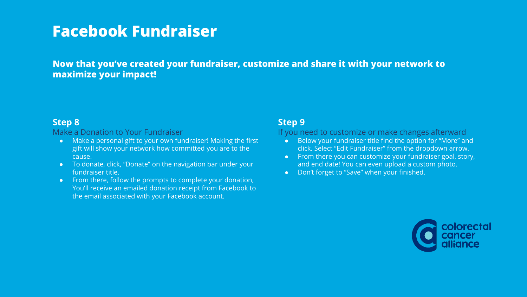**Now that you've created your fundraiser, customize and share it with your network to maximize your impact!**

## **Step 8**

#### Make a Donation to Your Fundraiser

- Make a personal gift to your own fundraiser! Making the first gift will show your network how committed you are to the cause.
- To donate, click, "Donate" on the navigation bar under your fundraiser title.
- From there, follow the prompts to complete your donation, You'll receive an emailed donation receipt from Facebook to the email associated with your Facebook account.

## **Step 9**

#### If you need to customize or make changes afterward

- Below your fundraiser title find the option for "More" and click. Select "Edit Fundraiser" from the dropdown arrow.
- From there you can customize your fundraiser goal, story, and end date! You can even upload a custom photo.
- Don't forget to "Save" when your finished.

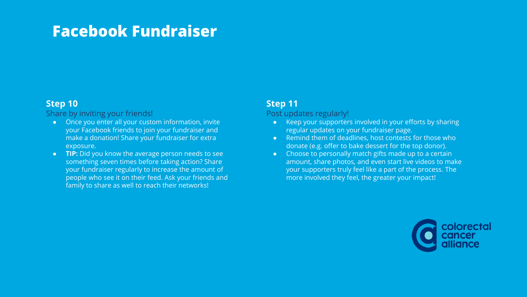## **Step 10**

#### Share by inviting your friends!

- Once you enter all your custom information, invite your Facebook friends to join your fundraiser and make a donation! Share your fundraiser for extra exposure.
- **TIP:** Did you know the average person needs to see something seven times before taking action? Share your fundraiser regularly to increase the amount of people who see it on their feed. Ask your friends and family to share as well to reach their networks!

## **Step 11**

#### Post updates regularly!

- Keep your supporters involved in your efforts by sharing regular updates on your fundraiser page.
- Remind them of deadlines, host contests for those who donate (e.g. offer to bake dessert for the top donor).
- Choose to personally match gifts made up to a certain amount, share photos, and even start live videos to make your supporters truly feel like a part of the process. The more involved they feel, the greater your impact!